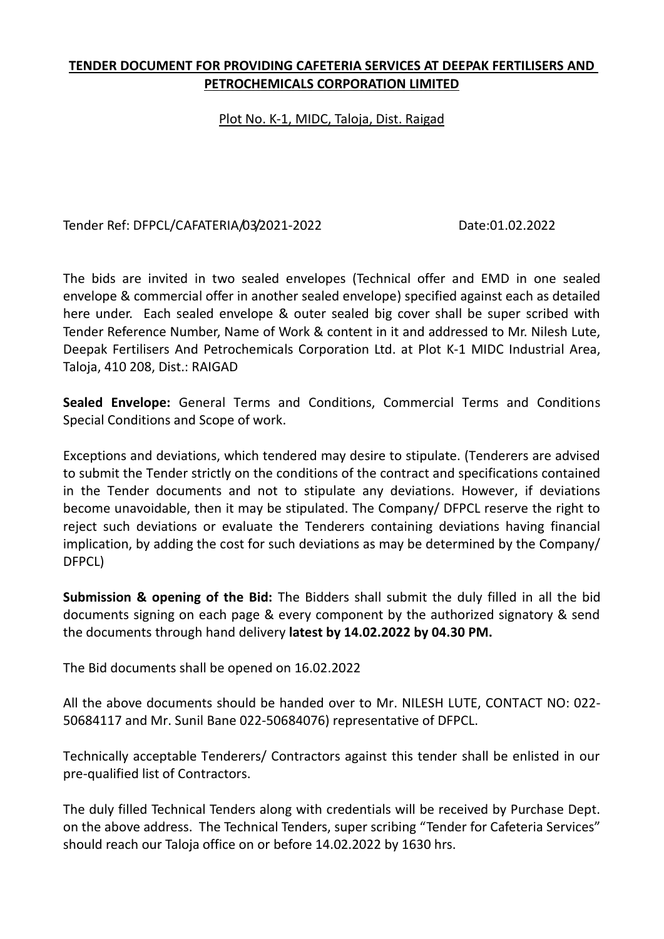### **TENDER DOCUMENT FOR PROVIDING CAFETERIA SERVICES AT DEEPAK FERTILISERS AND PETROCHEMICALS CORPORATION LIMITED**

### Plot No. K-1, MIDC, Taloja, Dist. Raigad

Tender Ref: DFPCL/CAFATERIA/03/2021-2022 Date:01.02.2022

The bids are invited in two sealed envelopes (Technical offer and EMD in one sealed envelope & commercial offer in another sealed envelope) specified against each as detailed here under. Each sealed envelope & outer sealed big cover shall be super scribed with Tender Reference Number, Name of Work & content in it and addressed to Mr. Nilesh Lute, Deepak Fertilisers And Petrochemicals Corporation Ltd. at Plot K-1 MIDC Industrial Area, Taloja, 410 208, Dist.: RAIGAD

**Sealed Envelope:** General Terms and Conditions, Commercial Terms and Conditions Special Conditions and Scope of work.

Exceptions and deviations, which tendered may desire to stipulate. (Tenderers are advised to submit the Tender strictly on the conditions of the contract and specifications contained in the Tender documents and not to stipulate any deviations. However, if deviations become unavoidable, then it may be stipulated. The Company/ DFPCL reserve the right to reject such deviations or evaluate the Tenderers containing deviations having financial implication, by adding the cost for such deviations as may be determined by the Company/ DFPCL)

**Submission & opening of the Bid:** The Bidders shall submit the duly filled in all the bid documents signing on each page & every component by the authorized signatory & send the documents through hand delivery **latest by 14.02.2022 by 04.30 PM.**

The Bid documents shall be opened on 16.02.2022

All the above documents should be handed over to Mr. NILESH LUTE, CONTACT NO: 022- 50684117 and Mr. Sunil Bane 022-50684076) representative of DFPCL.

Technically acceptable Tenderers/ Contractors against this tender shall be enlisted in our pre-qualified list of Contractors.

The duly filled Technical Tenders along with credentials will be received by Purchase Dept. on the above address. The Technical Tenders, super scribing "Tender for Cafeteria Services" should reach our Taloja office on or before 14.02.2022 by 1630 hrs.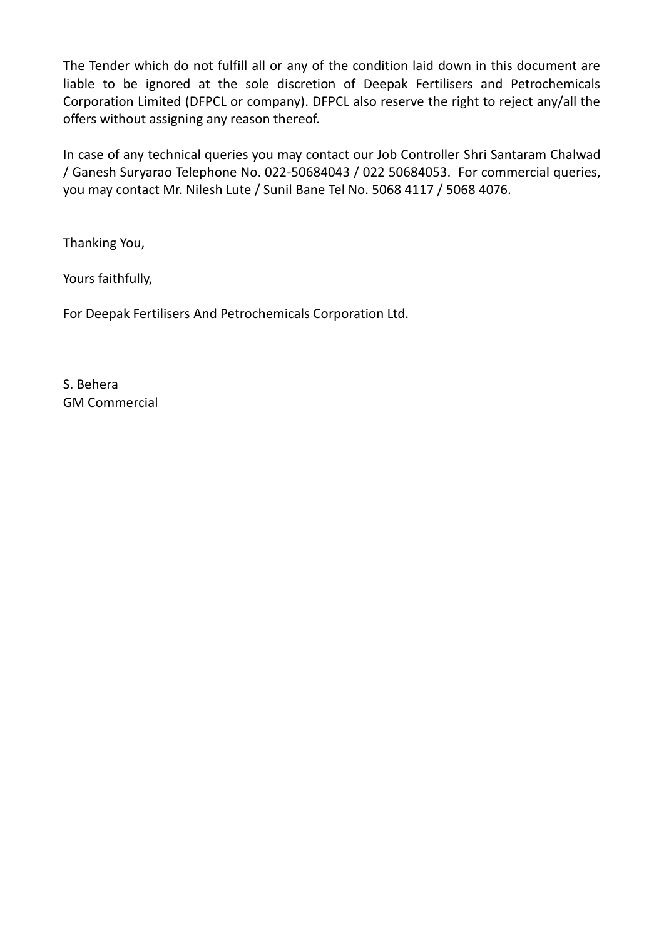The Tender which do not fulfill all or any of the condition laid down in this document are liable to be ignored at the sole discretion of Deepak Fertilisers and Petrochemicals Corporation Limited (DFPCL or company). DFPCL also reserve the right to reject any/all the offers without assigning any reason thereof.

In case of any technical queries you may contact our Job Controller Shri Santaram Chalwad / Ganesh Suryarao Telephone No. 022-50684043 / 022 50684053. For commercial queries, you may contact Mr. Nilesh Lute / Sunil Bane Tel No. 5068 4117 / 5068 4076.

Thanking You,

Yours faithfully,

For Deepak Fertilisers And Petrochemicals Corporation Ltd.

S. Behera GM Commercial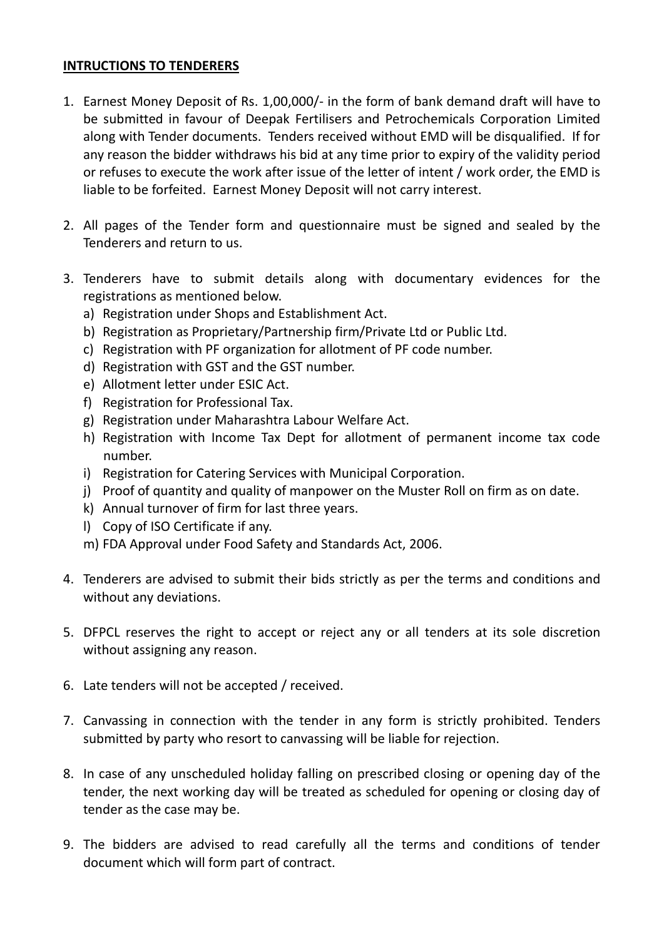#### **INTRUCTIONS TO TENDERERS**

- 1. Earnest Money Deposit of Rs. 1,00,000/- in the form of bank demand draft will have to be submitted in favour of Deepak Fertilisers and Petrochemicals Corporation Limited along with Tender documents. Tenders received without EMD will be disqualified. If for any reason the bidder withdraws his bid at any time prior to expiry of the validity period or refuses to execute the work after issue of the letter of intent / work order, the EMD is liable to be forfeited. Earnest Money Deposit will not carry interest.
- 2. All pages of the Tender form and questionnaire must be signed and sealed by the Tenderers and return to us.
- 3. Tenderers have to submit details along with documentary evidences for the registrations as mentioned below.
	- a) Registration under Shops and Establishment Act.
	- b) Registration as Proprietary/Partnership firm/Private Ltd or Public Ltd.
	- c) Registration with PF organization for allotment of PF code number.
	- d) Registration with GST and the GST number.
	- e) Allotment letter under ESIC Act.
	- f) Registration for Professional Tax.
	- g) Registration under Maharashtra Labour Welfare Act.
	- h) Registration with Income Tax Dept for allotment of permanent income tax code number.
	- i) Registration for Catering Services with Municipal Corporation.
	- j) Proof of quantity and quality of manpower on the Muster Roll on firm as on date.
	- k) Annual turnover of firm for last three years.
	- l) Copy of ISO Certificate if any.
	- m) FDA Approval under Food Safety and Standards Act, 2006.
- 4. Tenderers are advised to submit their bids strictly as per the terms and conditions and without any deviations.
- 5. DFPCL reserves the right to accept or reject any or all tenders at its sole discretion without assigning any reason.
- 6. Late tenders will not be accepted / received.
- 7. Canvassing in connection with the tender in any form is strictly prohibited. Tenders submitted by party who resort to canvassing will be liable for rejection.
- 8. In case of any unscheduled holiday falling on prescribed closing or opening day of the tender, the next working day will be treated as scheduled for opening or closing day of tender as the case may be.
- 9. The bidders are advised to read carefully all the terms and conditions of tender document which will form part of contract.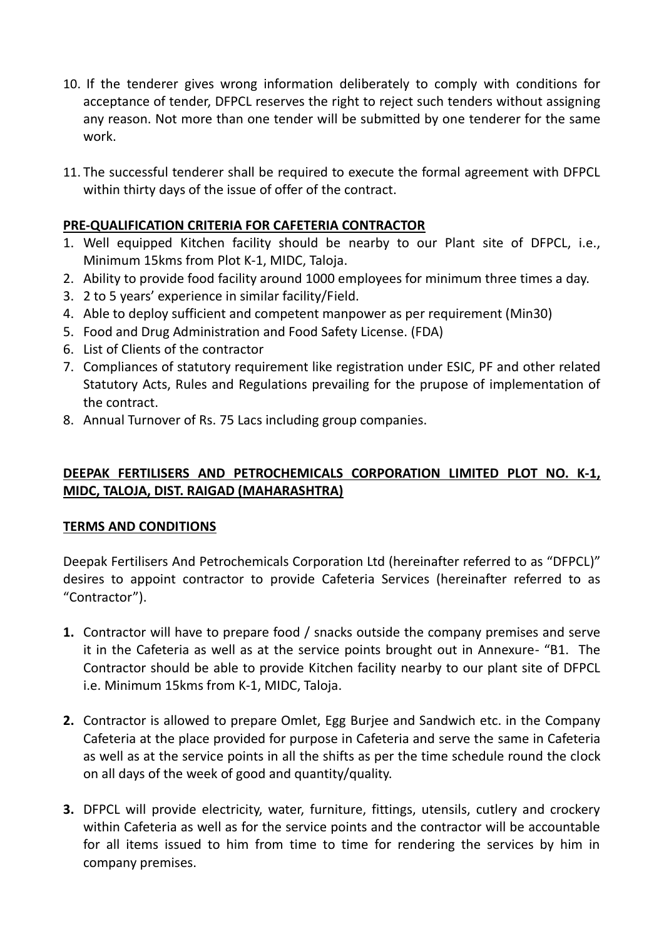- 10. If the tenderer gives wrong information deliberately to comply with conditions for acceptance of tender, DFPCL reserves the right to reject such tenders without assigning any reason. Not more than one tender will be submitted by one tenderer for the same work.
- 11. The successful tenderer shall be required to execute the formal agreement with DFPCL within thirty days of the issue of offer of the contract.

# **PRE-QUALIFICATION CRITERIA FOR CAFETERIA CONTRACTOR**

- 1. Well equipped Kitchen facility should be nearby to our Plant site of DFPCL, i.e., Minimum 15kms from Plot K-1, MIDC, Taloja.
- 2. Ability to provide food facility around 1000 employees for minimum three times a day.
- 3. 2 to 5 years' experience in similar facility/Field.
- 4. Able to deploy sufficient and competent manpower as per requirement (Min30)
- 5. Food and Drug Administration and Food Safety License. (FDA)
- 6. List of Clients of the contractor
- 7. Compliances of statutory requirement like registration under ESIC, PF and other related Statutory Acts, Rules and Regulations prevailing for the prupose of implementation of the contract.
- 8. Annual Turnover of Rs. 75 Lacs including group companies.

# **DEEPAK FERTILISERS AND PETROCHEMICALS CORPORATION LIMITED PLOT NO. K-1, MIDC, TALOJA, DIST. RAIGAD (MAHARASHTRA)**

## **TERMS AND CONDITIONS**

Deepak Fertilisers And Petrochemicals Corporation Ltd (hereinafter referred to as "DFPCL)" desires to appoint contractor to provide Cafeteria Services (hereinafter referred to as "Contractor").

- **1.** Contractor will have to prepare food / snacks outside the company premises and serve it in the Cafeteria as well as at the service points brought out in Annexure- "B1. The Contractor should be able to provide Kitchen facility nearby to our plant site of DFPCL i.e. Minimum 15kms from K-1, MIDC, Taloja.
- **2.** Contractor is allowed to prepare Omlet, Egg Burjee and Sandwich etc. in the Company Cafeteria at the place provided for purpose in Cafeteria and serve the same in Cafeteria as well as at the service points in all the shifts as per the time schedule round the clock on all days of the week of good and quantity/quality.
- **3.** DFPCL will provide electricity, water, furniture, fittings, utensils, cutlery and crockery within Cafeteria as well as for the service points and the contractor will be accountable for all items issued to him from time to time for rendering the services by him in company premises.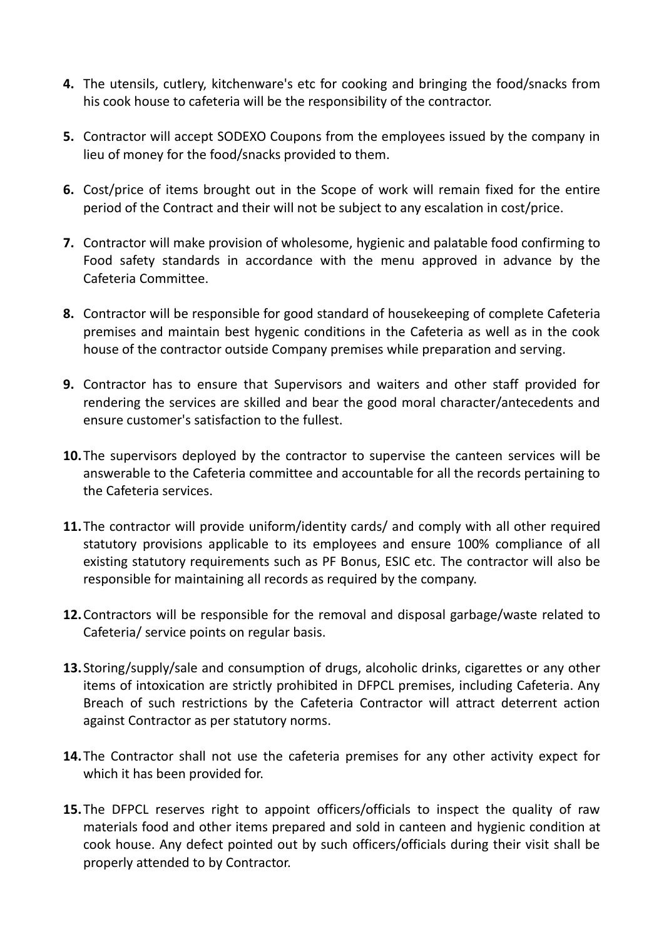- **4.** The utensils, cutlery, kitchenware's etc for cooking and bringing the food/snacks from his cook house to cafeteria will be the responsibility of the contractor.
- **5.** Contractor will accept SODEXO Coupons from the employees issued by the company in lieu of money for the food/snacks provided to them.
- **6.** Cost/price of items brought out in the Scope of work will remain fixed for the entire period of the Contract and their will not be subject to any escalation in cost/price.
- **7.** Contractor will make provision of wholesome, hygienic and palatable food confirming to Food safety standards in accordance with the menu approved in advance by the Cafeteria Committee.
- **8.** Contractor will be responsible for good standard of housekeeping of complete Cafeteria premises and maintain best hygenic conditions in the Cafeteria as well as in the cook house of the contractor outside Company premises while preparation and serving.
- **9.** Contractor has to ensure that Supervisors and waiters and other staff provided for rendering the services are skilled and bear the good moral character/antecedents and ensure customer's satisfaction to the fullest.
- **10.**The supervisors deployed by the contractor to supervise the canteen services will be answerable to the Cafeteria committee and accountable for all the records pertaining to the Cafeteria services.
- **11.**The contractor will provide uniform/identity cards/ and comply with all other required statutory provisions applicable to its employees and ensure 100% compliance of all existing statutory requirements such as PF Bonus, ESIC etc. The contractor will also be responsible for maintaining all records as required by the company.
- **12.**Contractors will be responsible for the removal and disposal garbage/waste related to Cafeteria/ service points on regular basis.
- **13.**Storing/supply/sale and consumption of drugs, alcoholic drinks, cigarettes or any other items of intoxication are strictly prohibited in DFPCL premises, including Cafeteria. Any Breach of such restrictions by the Cafeteria Contractor will attract deterrent action against Contractor as per statutory norms.
- **14.**The Contractor shall not use the cafeteria premises for any other activity expect for which it has been provided for.
- **15.**The DFPCL reserves right to appoint officers/officials to inspect the quality of raw materials food and other items prepared and sold in canteen and hygienic condition at cook house. Any defect pointed out by such officers/officials during their visit shall be properly attended to by Contractor.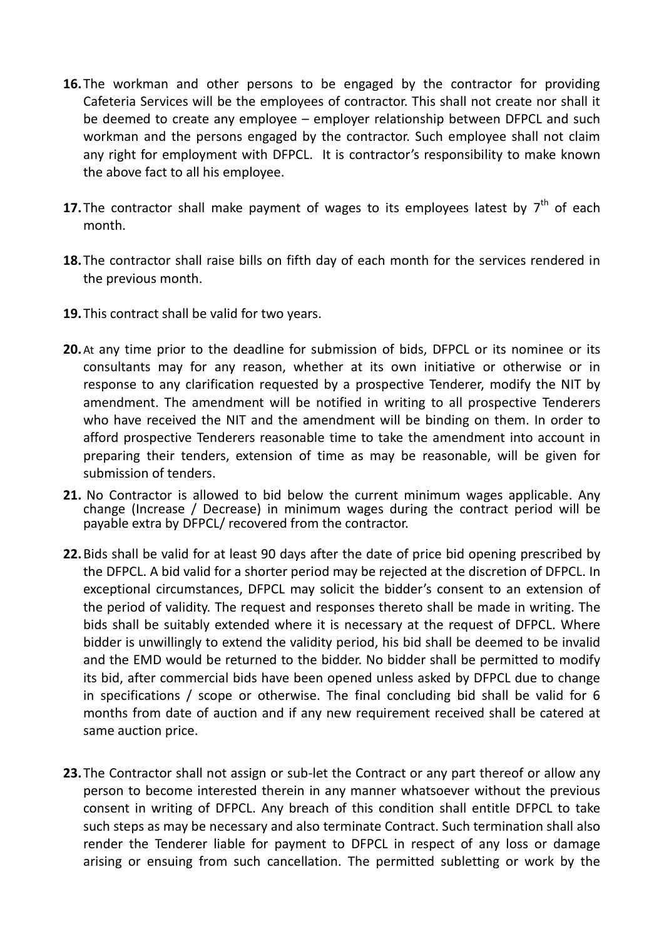- **16.**The workman and other persons to be engaged by the contractor for providing Cafeteria Services will be the employees of contractor. This shall not create nor shall it be deemed to create any employee – employer relationship between DFPCL and such workman and the persons engaged by the contractor. Such employee shall not claim any right for employment with DFPCL. It is contractor's responsibility to make known the above fact to all his employee.
- **17.** The contractor shall make payment of wages to its employees latest by 7<sup>th</sup> of each month.
- **18.**The contractor shall raise bills on fifth day of each month for the services rendered in the previous month.
- **19.**This contract shall be valid for two years.
- **20.**At any time prior to the deadline for submission of bids, DFPCL or its nominee or its consultants may for any reason, whether at its own initiative or otherwise or in response to any clarification requested by a prospective Tenderer, modify the NIT by amendment. The amendment will be notified in writing to all prospective Tenderers who have received the NIT and the amendment will be binding on them. In order to afford prospective Tenderers reasonable time to take the amendment into account in preparing their tenders, extension of time as may be reasonable, will be given for submission of tenders.
- **21.** No Contractor is allowed to bid below the current minimum wages applicable. Any change (Increase / Decrease) in minimum wages during the contract period will be payable extra by DFPCL/ recovered from the contractor.
- **22.**Bids shall be valid for at least 90 days after the date of price bid opening prescribed by the DFPCL. A bid valid for a shorter period may be rejected at the discretion of DFPCL. In exceptional circumstances, DFPCL may solicit the bidder's consent to an extension of the period of validity. The request and responses thereto shall be made in writing. The bids shall be suitably extended where it is necessary at the request of DFPCL. Where bidder is unwillingly to extend the validity period, his bid shall be deemed to be invalid and the EMD would be returned to the bidder. No bidder shall be permitted to modify its bid, after commercial bids have been opened unless asked by DFPCL due to change in specifications / scope or otherwise. The final concluding bid shall be valid for 6 months from date of auction and if any new requirement received shall be catered at same auction price.
- **23.**The Contractor shall not assign or sub-let the Contract or any part thereof or allow any person to become interested therein in any manner whatsoever without the previous consent in writing of DFPCL. Any breach of this condition shall entitle DFPCL to take such steps as may be necessary and also terminate Contract. Such termination shall also render the Tenderer liable for payment to DFPCL in respect of any loss or damage arising or ensuing from such cancellation. The permitted subletting or work by the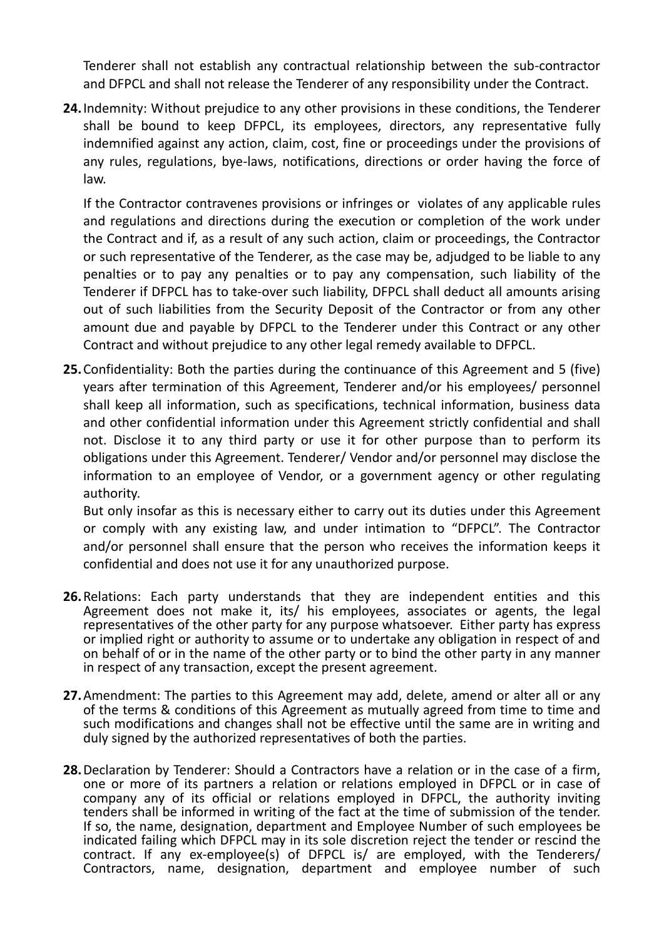Tenderer shall not establish any contractual relationship between the sub-contractor and DFPCL and shall not release the Tenderer of any responsibility under the Contract.

**24.**Indemnity: Without prejudice to any other provisions in these conditions, the Tenderer shall be bound to keep DFPCL, its employees, directors, any representative fully indemnified against any action, claim, cost, fine or proceedings under the provisions of any rules, regulations, bye-laws, notifications, directions or order having the force of law.

If the Contractor contravenes provisions or infringes or violates of any applicable rules and regulations and directions during the execution or completion of the work under the Contract and if, as a result of any such action, claim or proceedings, the Contractor or such representative of the Tenderer, as the case may be, adjudged to be liable to any penalties or to pay any penalties or to pay any compensation, such liability of the Tenderer if DFPCL has to take-over such liability, DFPCL shall deduct all amounts arising out of such liabilities from the Security Deposit of the Contractor or from any other amount due and payable by DFPCL to the Tenderer under this Contract or any other Contract and without prejudice to any other legal remedy available to DFPCL.

**25.**Confidentiality: Both the parties during the continuance of this Agreement and 5 (five) years after termination of this Agreement, Tenderer and/or his employees/ personnel shall keep all information, such as specifications, technical information, business data and other confidential information under this Agreement strictly confidential and shall not. Disclose it to any third party or use it for other purpose than to perform its obligations under this Agreement. Tenderer/ Vendor and/or personnel may disclose the information to an employee of Vendor, or a government agency or other regulating authority.

But only insofar as this is necessary either to carry out its duties under this Agreement or comply with any existing law, and under intimation to "DFPCL". The Contractor and/or personnel shall ensure that the person who receives the information keeps it confidential and does not use it for any unauthorized purpose.

- **26.**Relations: Each party understands that they are independent entities and this Agreement does not make it, its/ his employees, associates or agents, the legal representatives of the other party for any purpose whatsoever. Either party has express or implied right or authority to assume or to undertake any obligation in respect of and on behalf of or in the name of the other party or to bind the other party in any manner in respect of any transaction, except the present agreement.
- **27.**Amendment: The parties to this Agreement may add, delete, amend or alter all or any of the terms & conditions of this Agreement as mutually agreed from time to time and such modifications and changes shall not be effective until the same are in writing and duly signed by the authorized representatives of both the parties.
- **28.**Declaration by Tenderer: Should a Contractors have a relation or in the case of a firm, one or more of its partners a relation or relations employed in DFPCL or in case of company any of its official or relations employed in DFPCL, the authority inviting tenders shall be informed in writing of the fact at the time of submission of the tender. If so, the name, designation, department and Employee Number of such employees be indicated failing which DFPCL may in its sole discretion reject the tender or rescind the contract. If any ex-employee(s) of DFPCL is/ are employed, with the Tenderers/ Contractors, name, designation, department and employee number of such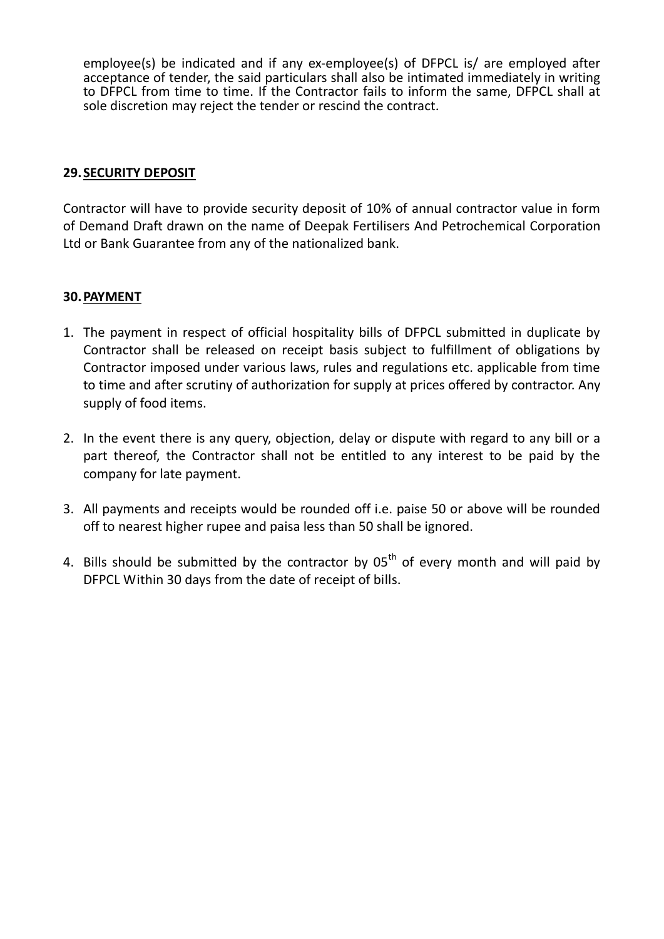employee(s) be indicated and if any ex-employee(s) of DFPCL is/ are employed after acceptance of tender, the said particulars shall also be intimated immediately in writing to DFPCL from time to time. If the Contractor fails to inform the same, DFPCL shall at sole discretion may reject the tender or rescind the contract.

#### **29.SECURITY DEPOSIT**

Contractor will have to provide security deposit of 10% of annual contractor value in form of Demand Draft drawn on the name of Deepak Fertilisers And Petrochemical Corporation Ltd or Bank Guarantee from any of the nationalized bank.

### **30.PAYMENT**

- 1. The payment in respect of official hospitality bills of DFPCL submitted in duplicate by Contractor shall be released on receipt basis subject to fulfillment of obligations by Contractor imposed under various laws, rules and regulations etc. applicable from time to time and after scrutiny of authorization for supply at prices offered by contractor. Any supply of food items.
- 2. In the event there is any query, objection, delay or dispute with regard to any bill or a part thereof, the Contractor shall not be entitled to any interest to be paid by the company for late payment.
- 3. All payments and receipts would be rounded off i.e. paise 50 or above will be rounded off to nearest higher rupee and paisa less than 50 shall be ignored.
- 4. Bills should be submitted by the contractor by  $05<sup>th</sup>$  of every month and will paid by DFPCL Within 30 days from the date of receipt of bills.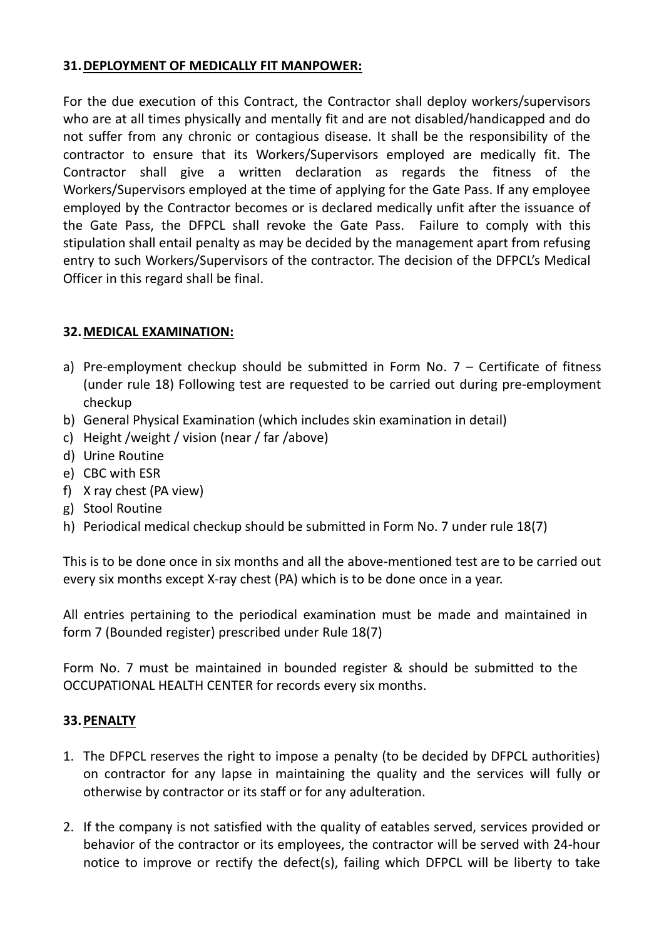# **31.DEPLOYMENT OF MEDICALLY FIT MANPOWER:**

For the due execution of this Contract, the Contractor shall deploy workers/supervisors who are at all times physically and mentally fit and are not disabled/handicapped and do not suffer from any chronic or contagious disease. It shall be the responsibility of the contractor to ensure that its Workers/Supervisors employed are medically fit. The Contractor shall give a written declaration as regards the fitness of the Workers/Supervisors employed at the time of applying for the Gate Pass. If any employee employed by the Contractor becomes or is declared medically unfit after the issuance of the Gate Pass, the DFPCL shall revoke the Gate Pass. Failure to comply with this stipulation shall entail penalty as may be decided by the management apart from refusing entry to such Workers/Supervisors of the contractor. The decision of the DFPCL's Medical Officer in this regard shall be final.

# **32.MEDICAL EXAMINATION:**

- a) Pre-employment checkup should be submitted in Form No.  $7$  Certificate of fitness (under rule 18) Following test are requested to be carried out during pre-employment checkup
- b) General Physical Examination (which includes skin examination in detail)
- c) Height /weight / vision (near / far /above)
- d) Urine Routine
- e) CBC with ESR
- f) X ray chest (PA view)
- g) Stool Routine
- h) Periodical medical checkup should be submitted in Form No. 7 under rule 18(7)

This is to be done once in six months and all the above-mentioned test are to be carried out every six months except X-ray chest (PA) which is to be done once in a year.

All entries pertaining to the periodical examination must be made and maintained in form 7 (Bounded register) prescribed under Rule 18(7)

Form No. 7 must be maintained in bounded register & should be submitted to the OCCUPATIONAL HEALTH CENTER for records every six months.

## **33.PENALTY**

- 1. The DFPCL reserves the right to impose a penalty (to be decided by DFPCL authorities) on contractor for any lapse in maintaining the quality and the services will fully or otherwise by contractor or its staff or for any adulteration.
- 2. If the company is not satisfied with the quality of eatables served, services provided or behavior of the contractor or its employees, the contractor will be served with 24-hour notice to improve or rectify the defect(s), failing which DFPCL will be liberty to take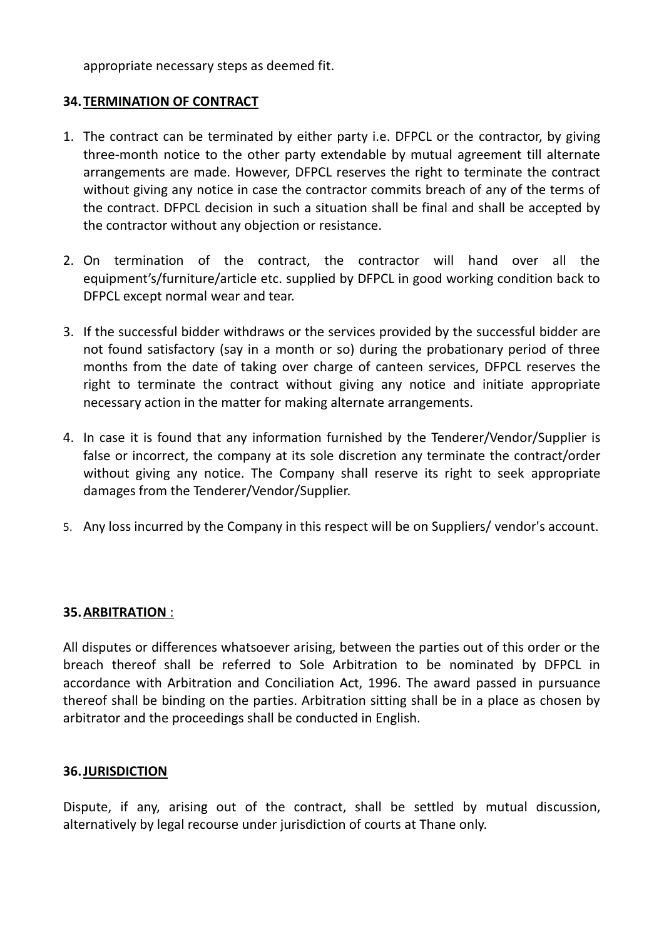appropriate necessary steps as deemed fit.

### **34.TERMINATION OF CONTRACT**

- 1. The contract can be terminated by either party i.e. DFPCL or the contractor, by giving three-month notice to the other party extendable by mutual agreement till alternate arrangements are made. However, DFPCL reserves the right to terminate the contract without giving any notice in case the contractor commits breach of any of the terms of the contract. DFPCL decision in such a situation shall be final and shall be accepted by the contractor without any objection or resistance.
- 2. On termination of the contract, the contractor will hand over all the equipment's/furniture/article etc. supplied by DFPCL in good working condition back to DFPCL except normal wear and tear.
- 3. If the successful bidder withdraws or the services provided by the successful bidder are not found satisfactory (say in a month or so) during the probationary period of three months from the date of taking over charge of canteen services, DFPCL reserves the right to terminate the contract without giving any notice and initiate appropriate necessary action in the matter for making alternate arrangements.
- 4. In case it is found that any information furnished by the Tenderer/Vendor/Supplier is false or incorrect, the company at its sole discretion any terminate the contract/order without giving any notice. The Company shall reserve its right to seek appropriate damages from the Tenderer/Vendor/Supplier.
- 5. Any loss incurred by the Company in this respect will be on Suppliers/ vendor's account.

## **35.ARBITRATION** :

All disputes or differences whatsoever arising, between the parties out of this order or the breach thereof shall be referred to Sole Arbitration to be nominated by DFPCL in accordance with Arbitration and Conciliation Act, 1996. The award passed in pursuance thereof shall be binding on the parties. Arbitration sitting shall be in a place as chosen by arbitrator and the proceedings shall be conducted in English.

#### **36.JURISDICTION**

Dispute, if any, arising out of the contract, shall be settled by mutual discussion, alternatively by legal recourse under jurisdiction of courts at Thane only.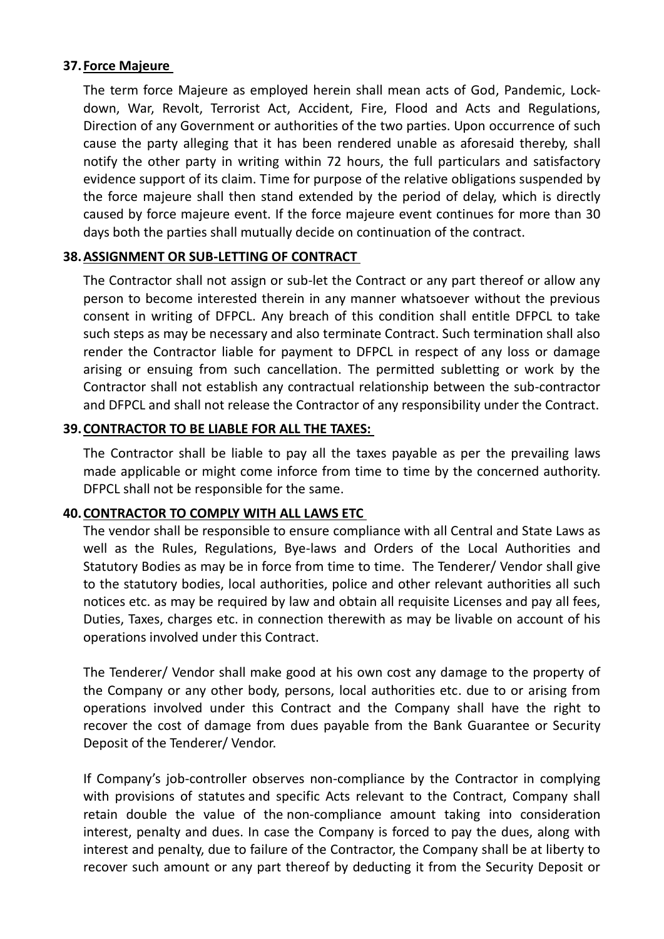#### **37.Force Majeure**

The term force Majeure as employed herein shall mean acts of God, Pandemic, Lockdown, War, Revolt, Terrorist Act, Accident, Fire, Flood and Acts and Regulations, Direction of any Government or authorities of the two parties. Upon occurrence of such cause the party alleging that it has been rendered unable as aforesaid thereby, shall notify the other party in writing within 72 hours, the full particulars and satisfactory evidence support of its claim. Time for purpose of the relative obligations suspended by the force majeure shall then stand extended by the period of delay, which is directly caused by force majeure event. If the force majeure event continues for more than 30 days both the parties shall mutually decide on continuation of the contract.

## **38.ASSIGNMENT OR SUB-LETTING OF CONTRACT**

The Contractor shall not assign or sub-let the Contract or any part thereof or allow any person to become interested therein in any manner whatsoever without the previous consent in writing of DFPCL. Any breach of this condition shall entitle DFPCL to take such steps as may be necessary and also terminate Contract. Such termination shall also render the Contractor liable for payment to DFPCL in respect of any loss or damage arising or ensuing from such cancellation. The permitted subletting or work by the Contractor shall not establish any contractual relationship between the sub-contractor and DFPCL and shall not release the Contractor of any responsibility under the Contract.

## **39.CONTRACTOR TO BE LIABLE FOR ALL THE TAXES:**

The Contractor shall be liable to pay all the taxes payable as per the prevailing laws made applicable or might come inforce from time to time by the concerned authority. DFPCL shall not be responsible for the same.

## **40.CONTRACTOR TO COMPLY WITH ALL LAWS ETC**

The vendor shall be responsible to ensure compliance with all Central and State Laws as well as the Rules, Regulations, Bye-laws and Orders of the Local Authorities and Statutory Bodies as may be in force from time to time. The Tenderer/ Vendor shall give to the statutory bodies, local authorities, police and other relevant authorities all such notices etc. as may be required by law and obtain all requisite Licenses and pay all fees, Duties, Taxes, charges etc. in connection therewith as may be livable on account of his operations involved under this Contract.

The Tenderer/ Vendor shall make good at his own cost any damage to the property of the Company or any other body, persons, local authorities etc. due to or arising from operations involved under this Contract and the Company shall have the right to recover the cost of damage from dues payable from the Bank Guarantee or Security Deposit of the Tenderer/ Vendor.

If Company's job-controller observes non-compliance by the Contractor in complying with provisions of statutes and specific Acts relevant to the Contract, Company shall retain double the value of the non-compliance amount taking into consideration interest, penalty and dues. In case the Company is forced to pay the dues, along with interest and penalty, due to failure of the Contractor, the Company shall be at liberty to recover such amount or any part thereof by deducting it from the Security Deposit or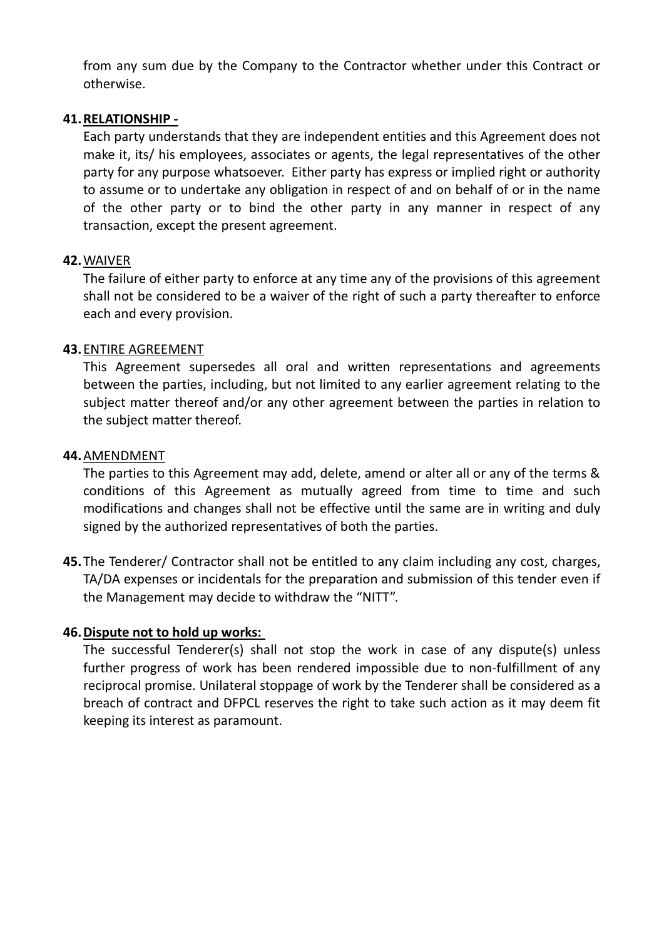from any sum due by the Company to the Contractor whether under this Contract or otherwise.

#### **41.RELATIONSHIP -**

Each party understands that they are independent entities and this Agreement does not make it, its/ his employees, associates or agents, the legal representatives of the other party for any purpose whatsoever. Either party has express or implied right or authority to assume or to undertake any obligation in respect of and on behalf of or in the name of the other party or to bind the other party in any manner in respect of any transaction, except the present agreement.

### **42.**WAIVER

The failure of either party to enforce at any time any of the provisions of this agreement shall not be considered to be a waiver of the right of such a party thereafter to enforce each and every provision.

### **43.**ENTIRE AGREEMENT

This Agreement supersedes all oral and written representations and agreements between the parties, including, but not limited to any earlier agreement relating to the subject matter thereof and/or any other agreement between the parties in relation to the subject matter thereof.

#### **44.**AMENDMENT

The parties to this Agreement may add, delete, amend or alter all or any of the terms & conditions of this Agreement as mutually agreed from time to time and such modifications and changes shall not be effective until the same are in writing and duly signed by the authorized representatives of both the parties.

**45.**The Tenderer/ Contractor shall not be entitled to any claim including any cost, charges, TA/DA expenses or incidentals for the preparation and submission of this tender even if the Management may decide to withdraw the "NITT".

## **46.Dispute not to hold up works:**

The successful Tenderer(s) shall not stop the work in case of any dispute(s) unless further progress of work has been rendered impossible due to non-fulfillment of any reciprocal promise. Unilateral stoppage of work by the Tenderer shall be considered as a breach of contract and DFPCL reserves the right to take such action as it may deem fit keeping its interest as paramount.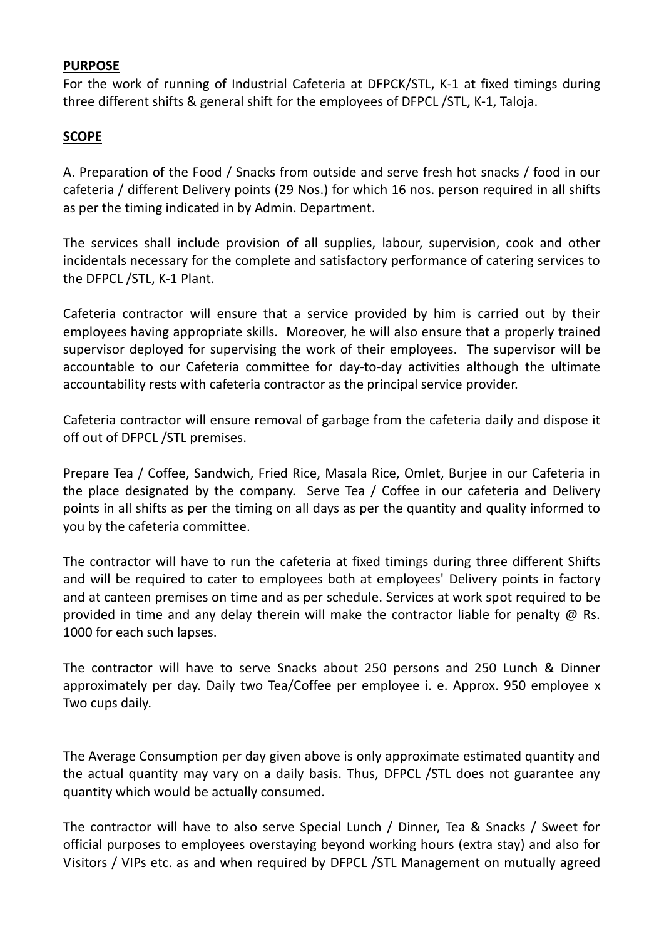### **PURPOSE**

For the work of running of Industrial Cafeteria at DFPCK/STL, K-1 at fixed timings during three different shifts & general shift for the employees of DFPCL /STL, K-1, Taloja.

# **SCOPE**

A. Preparation of the Food / Snacks from outside and serve fresh hot snacks / food in our cafeteria / different Delivery points (29 Nos.) for which 16 nos. person required in all shifts as per the timing indicated in by Admin. Department.

The services shall include provision of all supplies, labour, supervision, cook and other incidentals necessary for the complete and satisfactory performance of catering services to the DFPCL /STL, K-1 Plant.

Cafeteria contractor will ensure that a service provided by him is carried out by their employees having appropriate skills. Moreover, he will also ensure that a properly trained supervisor deployed for supervising the work of their employees. The supervisor will be accountable to our Cafeteria committee for day-to-day activities although the ultimate accountability rests with cafeteria contractor as the principal service provider.

Cafeteria contractor will ensure removal of garbage from the cafeteria daily and dispose it off out of DFPCL /STL premises.

Prepare Tea / Coffee, Sandwich, Fried Rice, Masala Rice, Omlet, Burjee in our Cafeteria in the place designated by the company. Serve Tea / Coffee in our cafeteria and Delivery points in all shifts as per the timing on all days as per the quantity and quality informed to you by the cafeteria committee.

The contractor will have to run the cafeteria at fixed timings during three different Shifts and will be required to cater to employees both at employees' Delivery points in factory and at canteen premises on time and as per schedule. Services at work spot required to be provided in time and any delay therein will make the contractor liable for penalty @ Rs. 1000 for each such lapses.

The contractor will have to serve Snacks about 250 persons and 250 Lunch & Dinner approximately per day. Daily two Tea/Coffee per employee i. e. Approx. 950 employee x Two cups daily.

The Average Consumption per day given above is only approximate estimated quantity and the actual quantity may vary on a daily basis. Thus, DFPCL /STL does not guarantee any quantity which would be actually consumed.

The contractor will have to also serve Special Lunch / Dinner, Tea & Snacks / Sweet for official purposes to employees overstaying beyond working hours (extra stay) and also for Visitors / VIPs etc. as and when required by DFPCL /STL Management on mutually agreed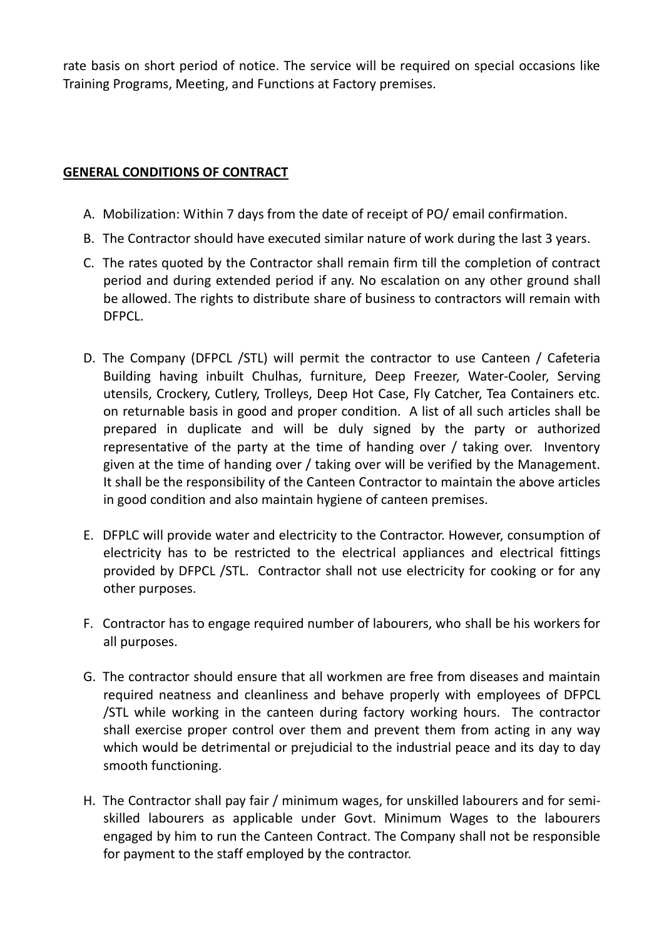rate basis on short period of notice. The service will be required on special occasions like Training Programs, Meeting, and Functions at Factory premises.

## **GENERAL CONDITIONS OF CONTRACT**

- A. Mobilization: Within 7 days from the date of receipt of PO/ email confirmation.
- B. The Contractor should have executed similar nature of work during the last 3 years.
- C. The rates quoted by the Contractor shall remain firm till the completion of contract period and during extended period if any. No escalation on any other ground shall be allowed. The rights to distribute share of business to contractors will remain with DFPCL.
- D. The Company (DFPCL /STL) will permit the contractor to use Canteen / Cafeteria Building having inbuilt Chulhas, furniture, Deep Freezer, Water-Cooler, Serving utensils, Crockery, Cutlery, Trolleys, Deep Hot Case, Fly Catcher, Tea Containers etc. on returnable basis in good and proper condition. A list of all such articles shall be prepared in duplicate and will be duly signed by the party or authorized representative of the party at the time of handing over / taking over. Inventory given at the time of handing over / taking over will be verified by the Management. It shall be the responsibility of the Canteen Contractor to maintain the above articles in good condition and also maintain hygiene of canteen premises.
- E. DFPLC will provide water and electricity to the Contractor. However, consumption of electricity has to be restricted to the electrical appliances and electrical fittings provided by DFPCL /STL. Contractor shall not use electricity for cooking or for any other purposes.
- F. Contractor has to engage required number of labourers, who shall be his workers for all purposes.
- G. The contractor should ensure that all workmen are free from diseases and maintain required neatness and cleanliness and behave properly with employees of DFPCL /STL while working in the canteen during factory working hours. The contractor shall exercise proper control over them and prevent them from acting in any way which would be detrimental or prejudicial to the industrial peace and its day to day smooth functioning.
- H. The Contractor shall pay fair / minimum wages, for unskilled labourers and for semiskilled labourers as applicable under Govt. Minimum Wages to the labourers engaged by him to run the Canteen Contract. The Company shall not be responsible for payment to the staff employed by the contractor.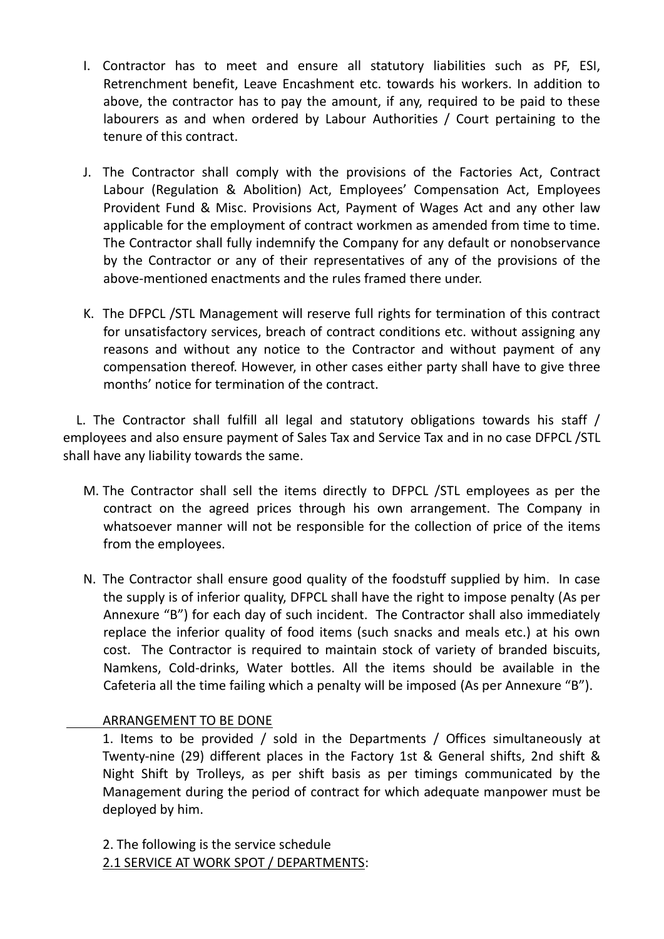- I. Contractor has to meet and ensure all statutory liabilities such as PF, ESI, Retrenchment benefit, Leave Encashment etc. towards his workers. In addition to above, the contractor has to pay the amount, if any, required to be paid to these labourers as and when ordered by Labour Authorities / Court pertaining to the tenure of this contract.
- J. The Contractor shall comply with the provisions of the Factories Act, Contract Labour (Regulation & Abolition) Act, Employees' Compensation Act, Employees Provident Fund & Misc. Provisions Act, Payment of Wages Act and any other law applicable for the employment of contract workmen as amended from time to time. The Contractor shall fully indemnify the Company for any default or nonobservance by the Contractor or any of their representatives of any of the provisions of the above-mentioned enactments and the rules framed there under.
- K. The DFPCL /STL Management will reserve full rights for termination of this contract for unsatisfactory services, breach of contract conditions etc. without assigning any reasons and without any notice to the Contractor and without payment of any compensation thereof. However, in other cases either party shall have to give three months' notice for termination of the contract.

 L. The Contractor shall fulfill all legal and statutory obligations towards his staff / employees and also ensure payment of Sales Tax and Service Tax and in no case DFPCL /STL shall have any liability towards the same.

- M. The Contractor shall sell the items directly to DFPCL /STL employees as per the contract on the agreed prices through his own arrangement. The Company in whatsoever manner will not be responsible for the collection of price of the items from the employees.
- N. The Contractor shall ensure good quality of the foodstuff supplied by him. In case the supply is of inferior quality, DFPCL shall have the right to impose penalty (As per Annexure "B") for each day of such incident. The Contractor shall also immediately replace the inferior quality of food items (such snacks and meals etc.) at his own cost. The Contractor is required to maintain stock of variety of branded biscuits, Namkens, Cold-drinks, Water bottles. All the items should be available in the Cafeteria all the time failing which a penalty will be imposed (As per Annexure "B").

## ARRANGEMENT TO BE DONE

1. Items to be provided / sold in the Departments / Offices simultaneously at Twenty-nine (29) different places in the Factory 1st & General shifts, 2nd shift & Night Shift by Trolleys, as per shift basis as per timings communicated by the Management during the period of contract for which adequate manpower must be deployed by him.

2. The following is the service schedule 2.1 SERVICE AT WORK SPOT / DEPARTMENTS: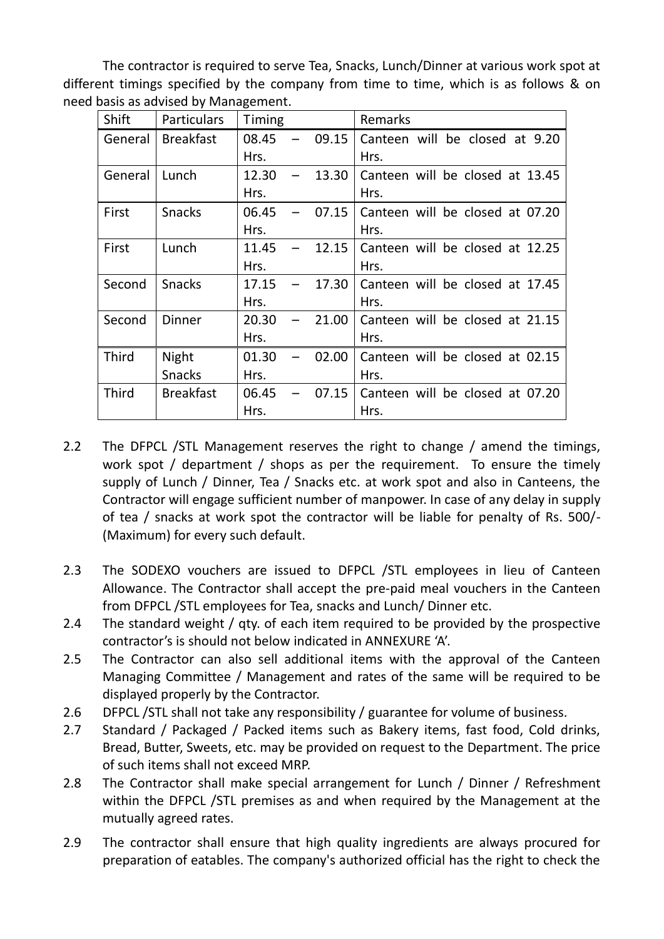The contractor is required to serve Tea, Snacks, Lunch/Dinner at various work spot at different timings specified by the company from time to time, which is as follows & on need basis as advised by Management.

| Shift        | <b>Particulars</b> | Timing |       | Remarks                         |
|--------------|--------------------|--------|-------|---------------------------------|
| General      | <b>Breakfast</b>   | 08.45  | 09.15 | Canteen will be closed at 9.20  |
|              |                    | Hrs.   |       | Hrs.                            |
| General      | Lunch              | 12.30  | 13.30 | Canteen will be closed at 13.45 |
|              |                    | Hrs.   |       | Hrs.                            |
| First        | <b>Snacks</b>      | 06.45  | 07.15 | Canteen will be closed at 07.20 |
|              |                    | Hrs.   |       | Hrs.                            |
| First        | Lunch              | 11.45  | 12.15 | Canteen will be closed at 12.25 |
|              |                    | Hrs.   |       | Hrs.                            |
| Second       | <b>Snacks</b>      | 17.15  | 17.30 | Canteen will be closed at 17.45 |
|              |                    | Hrs.   |       | Hrs.                            |
| Second       | <b>Dinner</b>      | 20.30  | 21.00 | Canteen will be closed at 21.15 |
|              |                    | Hrs.   |       | Hrs.                            |
| <b>Third</b> | Night              | 01.30  | 02.00 | Canteen will be closed at 02.15 |
|              | <b>Snacks</b>      | Hrs.   |       | Hrs.                            |
| <b>Third</b> | <b>Breakfast</b>   | 06.45  | 07.15 | Canteen will be closed at 07.20 |
|              |                    | Hrs.   |       | Hrs.                            |

- 2.2 The DFPCL /STL Management reserves the right to change / amend the timings, work spot / department / shops as per the requirement. To ensure the timely supply of Lunch / Dinner, Tea / Snacks etc. at work spot and also in Canteens, the Contractor will engage sufficient number of manpower. In case of any delay in supply of tea / snacks at work spot the contractor will be liable for penalty of Rs. 500/- (Maximum) for every such default.
- 2.3 The SODEXO vouchers are issued to DFPCL /STL employees in lieu of Canteen Allowance. The Contractor shall accept the pre-paid meal vouchers in the Canteen from DFPCL /STL employees for Tea, snacks and Lunch/ Dinner etc.
- 2.4 The standard weight / qty. of each item required to be provided by the prospective contractor's is should not below indicated in ANNEXURE 'A'.
- 2.5 The Contractor can also sell additional items with the approval of the Canteen Managing Committee / Management and rates of the same will be required to be displayed properly by the Contractor.
- 2.6 DFPCL /STL shall not take any responsibility / guarantee for volume of business.
- 2.7 Standard / Packaged / Packed items such as Bakery items, fast food, Cold drinks, Bread, Butter, Sweets, etc. may be provided on request to the Department. The price of such items shall not exceed MRP.
- 2.8 The Contractor shall make special arrangement for Lunch / Dinner / Refreshment within the DFPCL /STL premises as and when required by the Management at the mutually agreed rates.
- 2.9 The contractor shall ensure that high quality ingredients are always procured for preparation of eatables. The company's authorized official has the right to check the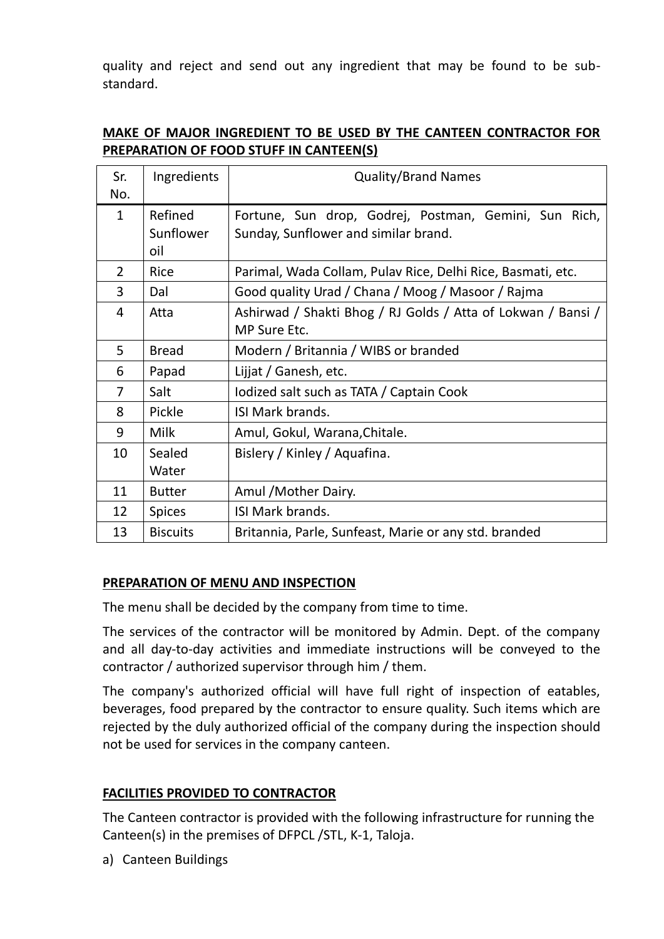quality and reject and send out any ingredient that may be found to be substandard.

| Sr.            | Ingredients      | <b>Quality/Brand Names</b>                                   |  |  |  |  |  |
|----------------|------------------|--------------------------------------------------------------|--|--|--|--|--|
| No.            |                  |                                                              |  |  |  |  |  |
| $\mathbf{1}$   | Refined          | Fortune, Sun drop, Godrej, Postman, Gemini, Sun Rich,        |  |  |  |  |  |
|                | Sunflower<br>oil | Sunday, Sunflower and similar brand.                         |  |  |  |  |  |
| $\overline{2}$ | Rice             | Parimal, Wada Collam, Pulav Rice, Delhi Rice, Basmati, etc.  |  |  |  |  |  |
| 3              | Dal              | Good quality Urad / Chana / Moog / Masoor / Rajma            |  |  |  |  |  |
| 4              | Atta             | Ashirwad / Shakti Bhog / RJ Golds / Atta of Lokwan / Bansi / |  |  |  |  |  |
|                |                  | MP Sure Etc.                                                 |  |  |  |  |  |
| 5              | <b>Bread</b>     | Modern / Britannia / WIBS or branded                         |  |  |  |  |  |
| 6              | Papad            | Lijjat / Ganesh, etc.                                        |  |  |  |  |  |
| 7              | Salt             | lodized salt such as TATA / Captain Cook                     |  |  |  |  |  |
| 8              | Pickle           | ISI Mark brands.                                             |  |  |  |  |  |
| 9              | Milk             | Amul, Gokul, Warana, Chitale.                                |  |  |  |  |  |
| 10             | Sealed           | Bislery / Kinley / Aquafina.                                 |  |  |  |  |  |
|                | Water            |                                                              |  |  |  |  |  |
| 11             | <b>Butter</b>    | Amul / Mother Dairy.                                         |  |  |  |  |  |
| 12             | <b>Spices</b>    | ISI Mark brands.                                             |  |  |  |  |  |
| 13             | <b>Biscuits</b>  | Britannia, Parle, Sunfeast, Marie or any std. branded        |  |  |  |  |  |

# **MAKE OF MAJOR INGREDIENT TO BE USED BY THE CANTEEN CONTRACTOR FOR PREPARATION OF FOOD STUFF IN CANTEEN(S)**

## **PREPARATION OF MENU AND INSPECTION**

The menu shall be decided by the company from time to time.

The services of the contractor will be monitored by Admin. Dept. of the company and all day-to-day activities and immediate instructions will be conveyed to the contractor / authorized supervisor through him / them.

The company's authorized official will have full right of inspection of eatables, beverages, food prepared by the contractor to ensure quality. Such items which are rejected by the duly authorized official of the company during the inspection should not be used for services in the company canteen.

## **FACILITIES PROVIDED TO CONTRACTOR**

The Canteen contractor is provided with the following infrastructure for running the Canteen(s) in the premises of DFPCL /STL, K-1, Taloja.

a) Canteen Buildings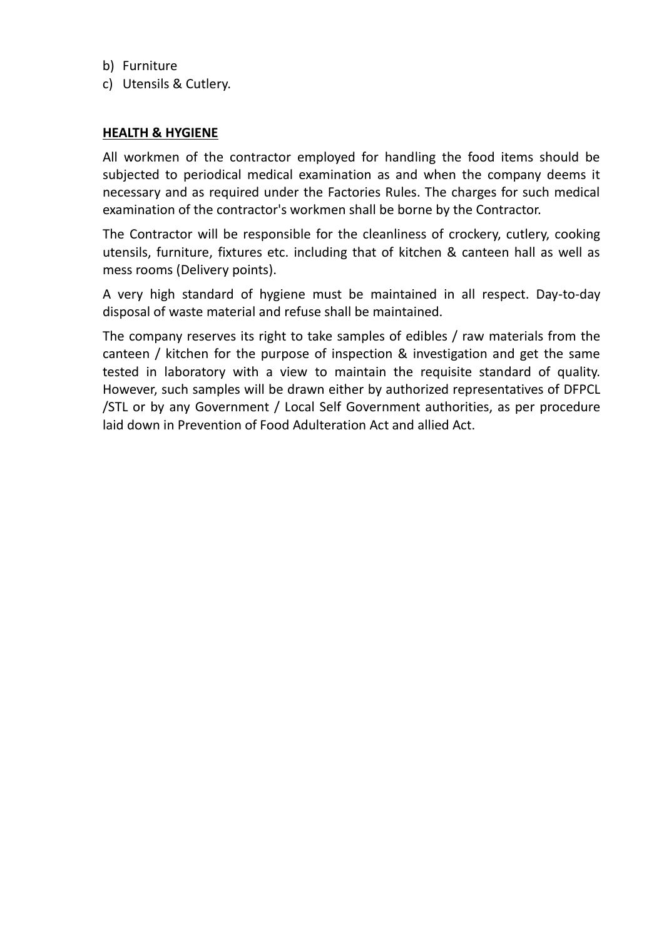- b) Furniture
- c) Utensils & Cutlery.

#### **HEALTH & HYGIENE**

All workmen of the contractor employed for handling the food items should be subjected to periodical medical examination as and when the company deems it necessary and as required under the Factories Rules. The charges for such medical examination of the contractor's workmen shall be borne by the Contractor.

The Contractor will be responsible for the cleanliness of crockery, cutlery, cooking utensils, furniture, fixtures etc. including that of kitchen & canteen hall as well as mess rooms (Delivery points).

A very high standard of hygiene must be maintained in all respect. Day-to-day disposal of waste material and refuse shall be maintained.

The company reserves its right to take samples of edibles / raw materials from the canteen / kitchen for the purpose of inspection & investigation and get the same tested in laboratory with a view to maintain the requisite standard of quality. However, such samples will be drawn either by authorized representatives of DFPCL /STL or by any Government / Local Self Government authorities, as per procedure laid down in Prevention of Food Adulteration Act and allied Act.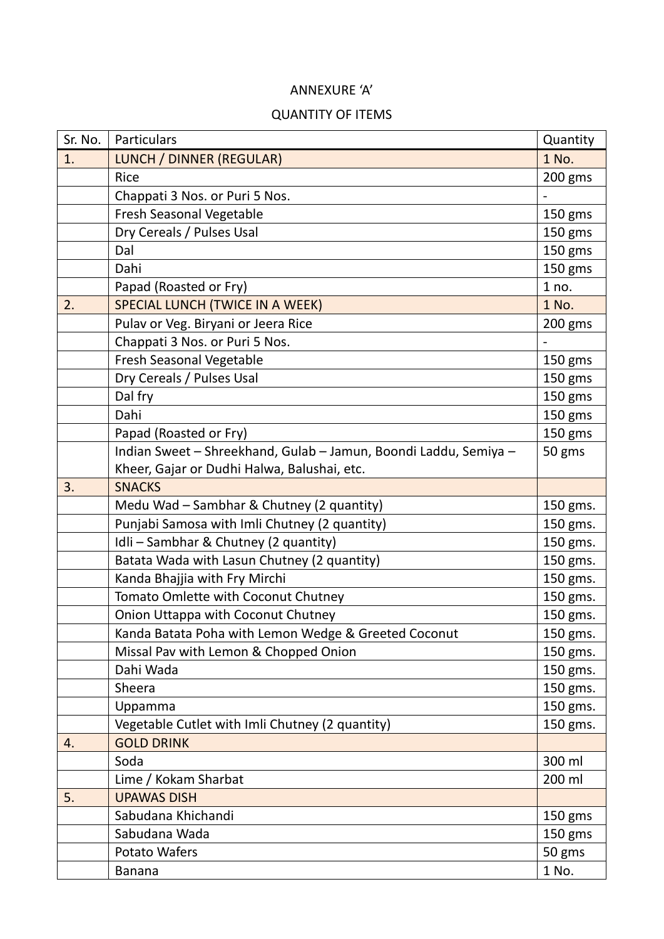# ANNEXURE 'A'

#### QUANTITY OF ITEMS

| Sr. No. | Particulars                                                      | Quantity  |
|---------|------------------------------------------------------------------|-----------|
| 1.      | LUNCH / DINNER (REGULAR)                                         | 1 No.     |
|         | <b>Rice</b>                                                      | $200$ gms |
|         | Chappati 3 Nos. or Puri 5 Nos.                                   |           |
|         | Fresh Seasonal Vegetable                                         | 150 gms   |
|         | Dry Cereals / Pulses Usal                                        | 150 gms   |
|         | Dal                                                              | 150 gms   |
|         | Dahi                                                             | 150 gms   |
|         | Papad (Roasted or Fry)                                           | 1 no.     |
| 2.      | <b>SPECIAL LUNCH (TWICE IN A WEEK)</b>                           | 1 No.     |
|         | Pulav or Veg. Biryani or Jeera Rice                              | 200 gms   |
|         | Chappati 3 Nos. or Puri 5 Nos.                                   |           |
|         | Fresh Seasonal Vegetable                                         | 150 gms   |
|         | Dry Cereals / Pulses Usal                                        | 150 gms   |
|         | Dal fry                                                          | 150 gms   |
|         | Dahi                                                             | 150 gms   |
|         | Papad (Roasted or Fry)                                           | 150 gms   |
|         | Indian Sweet - Shreekhand, Gulab - Jamun, Boondi Laddu, Semiya - | 50 gms    |
|         | Kheer, Gajar or Dudhi Halwa, Balushai, etc.                      |           |
| 3.      | <b>SNACKS</b>                                                    |           |
|         | Medu Wad - Sambhar & Chutney (2 quantity)                        | 150 gms.  |
|         | Punjabi Samosa with Imli Chutney (2 quantity)                    | 150 gms.  |
|         | Idli - Sambhar & Chutney (2 quantity)                            | 150 gms.  |
|         | Batata Wada with Lasun Chutney (2 quantity)                      | 150 gms.  |
|         | Kanda Bhajjia with Fry Mirchi                                    | 150 gms.  |
|         | Tomato Omlette with Coconut Chutney                              | 150 gms.  |
|         | Onion Uttappa with Coconut Chutney                               | 150 gms.  |
|         | Kanda Batata Poha with Lemon Wedge & Greeted Coconut             | 150 gms.  |
|         | Missal Pav with Lemon & Chopped Onion                            | 150 gms.  |
|         | Dahi Wada                                                        | 150 gms.  |
|         | Sheera                                                           | 150 gms.  |
|         | Uppamma                                                          | 150 gms.  |
|         | Vegetable Cutlet with Imli Chutney (2 quantity)                  | 150 gms.  |
| 4.      | <b>GOLD DRINK</b>                                                |           |
|         | Soda                                                             | 300 ml    |
|         | Lime / Kokam Sharbat                                             | 200 ml    |
| 5.      | <b>UPAWAS DISH</b>                                               |           |
|         | Sabudana Khichandi                                               | 150 gms   |
|         | Sabudana Wada                                                    | 150 gms   |
|         | Potato Wafers                                                    | 50 gms    |
|         | <b>Banana</b>                                                    | 1 No.     |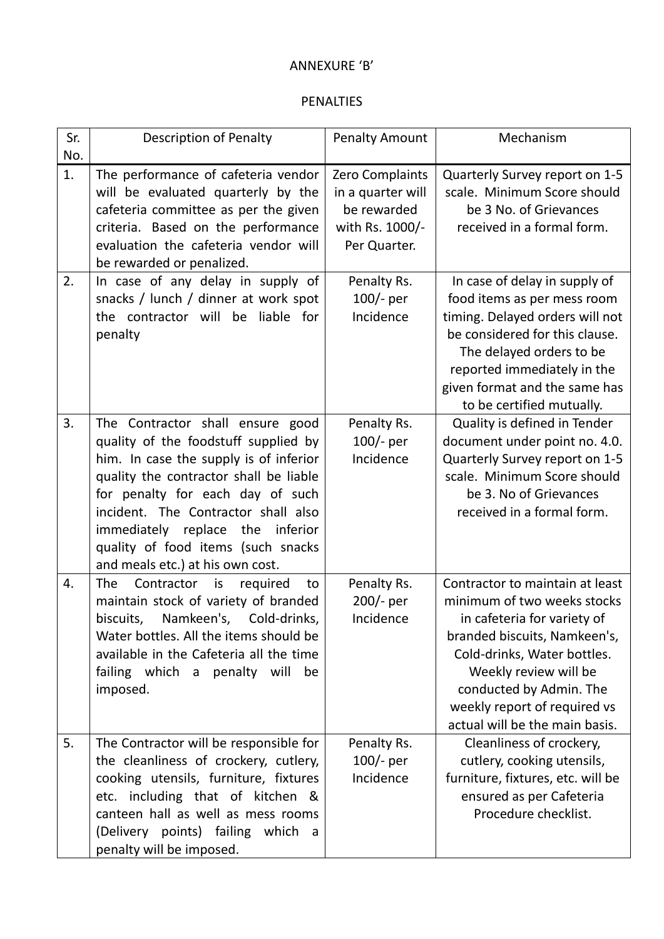### ANNEXURE 'B'

### PENALTIES

| Sr.<br>No. | <b>Description of Penalty</b>                                                                                                                                                                                                                                                                                                                            | <b>Penalty Amount</b>                                                                  | Mechanism                                                                                                                                                                                                                                                                          |
|------------|----------------------------------------------------------------------------------------------------------------------------------------------------------------------------------------------------------------------------------------------------------------------------------------------------------------------------------------------------------|----------------------------------------------------------------------------------------|------------------------------------------------------------------------------------------------------------------------------------------------------------------------------------------------------------------------------------------------------------------------------------|
| 1.         | The performance of cafeteria vendor<br>will be evaluated quarterly by the<br>cafeteria committee as per the given<br>criteria. Based on the performance<br>evaluation the cafeteria vendor will<br>be rewarded or penalized.                                                                                                                             | Zero Complaints<br>in a quarter will<br>be rewarded<br>with Rs. 1000/-<br>Per Quarter. | Quarterly Survey report on 1-5<br>scale. Minimum Score should<br>be 3 No. of Grievances<br>received in a formal form.                                                                                                                                                              |
| 2.         | In case of any delay in supply of<br>snacks / lunch / dinner at work spot<br>the contractor will be liable for<br>penalty                                                                                                                                                                                                                                | Penalty Rs.<br>$100/-$ per<br>Incidence                                                | In case of delay in supply of<br>food items as per mess room<br>timing. Delayed orders will not<br>be considered for this clause.<br>The delayed orders to be<br>reported immediately in the<br>given format and the same has<br>to be certified mutually.                         |
| 3.         | The Contractor shall ensure good<br>quality of the foodstuff supplied by<br>him. In case the supply is of inferior<br>quality the contractor shall be liable<br>for penalty for each day of such<br>incident. The Contractor shall also<br>immediately replace the<br>inferior<br>quality of food items (such snacks<br>and meals etc.) at his own cost. | Penalty Rs.<br>$100/-$ per<br>Incidence                                                | Quality is defined in Tender<br>document under point no. 4.0.<br>Quarterly Survey report on 1-5<br>scale. Minimum Score should<br>be 3. No of Grievances<br>received in a formal form.                                                                                             |
| 4.         | <b>The</b><br>Contractor<br>required<br>is<br>to<br>maintain stock of variety of branded<br>Namkeen's,<br>Cold-drinks,<br>biscuits,<br>Water bottles. All the items should be<br>available in the Cafeteria all the time<br>failing which a penalty will be<br>imposed.                                                                                  | Penalty Rs.<br>200/- per<br>Incidence                                                  | Contractor to maintain at least<br>minimum of two weeks stocks<br>in cafeteria for variety of<br>branded biscuits, Namkeen's,<br>Cold-drinks, Water bottles.<br>Weekly review will be<br>conducted by Admin. The<br>weekly report of required vs<br>actual will be the main basis. |
| 5.         | The Contractor will be responsible for<br>the cleanliness of crockery, cutlery,<br>cooking utensils, furniture, fixtures<br>etc. including that of kitchen &<br>canteen hall as well as mess rooms<br>(Delivery points) failing which a<br>penalty will be imposed.                                                                                      | Penalty Rs.<br>$100/-$ per<br>Incidence                                                | Cleanliness of crockery,<br>cutlery, cooking utensils,<br>furniture, fixtures, etc. will be<br>ensured as per Cafeteria<br>Procedure checklist.                                                                                                                                    |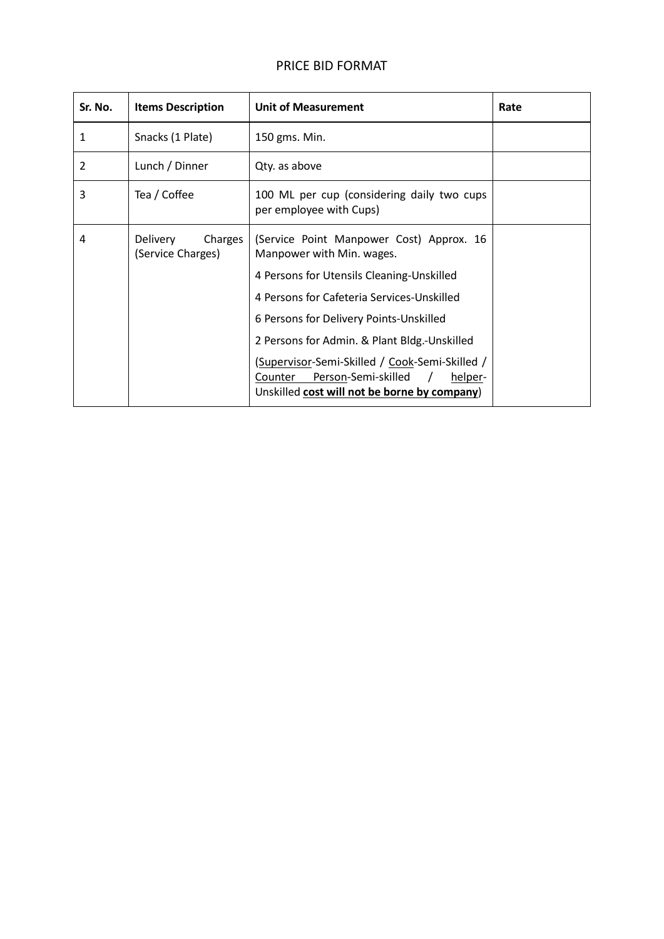## PRICE BID FORMAT

| Sr. No. | <b>Items Description</b>                        | <b>Unit of Measurement</b>                                                                                                                  | Rate |
|---------|-------------------------------------------------|---------------------------------------------------------------------------------------------------------------------------------------------|------|
| 1       | Snacks (1 Plate)                                | 150 gms. Min.                                                                                                                               |      |
| 2       | Lunch / Dinner                                  | Qty. as above                                                                                                                               |      |
| 3       | Tea / Coffee                                    | 100 ML per cup (considering daily two cups<br>per employee with Cups)                                                                       |      |
| 4       | <b>Delivery</b><br>Charges<br>(Service Charges) | (Service Point Manpower Cost) Approx. 16<br>Manpower with Min. wages.                                                                       |      |
|         |                                                 | 4 Persons for Utensils Cleaning-Unskilled                                                                                                   |      |
|         |                                                 | 4 Persons for Cafeteria Services-Unskilled                                                                                                  |      |
|         |                                                 | 6 Persons for Delivery Points-Unskilled                                                                                                     |      |
|         |                                                 | 2 Persons for Admin. & Plant Bldg.-Unskilled                                                                                                |      |
|         |                                                 | (Supervisor-Semi-Skilled / Cook-Semi-Skilled /<br>Person-Semi-skilled<br>Counter<br>helper-<br>Unskilled cost will not be borne by company) |      |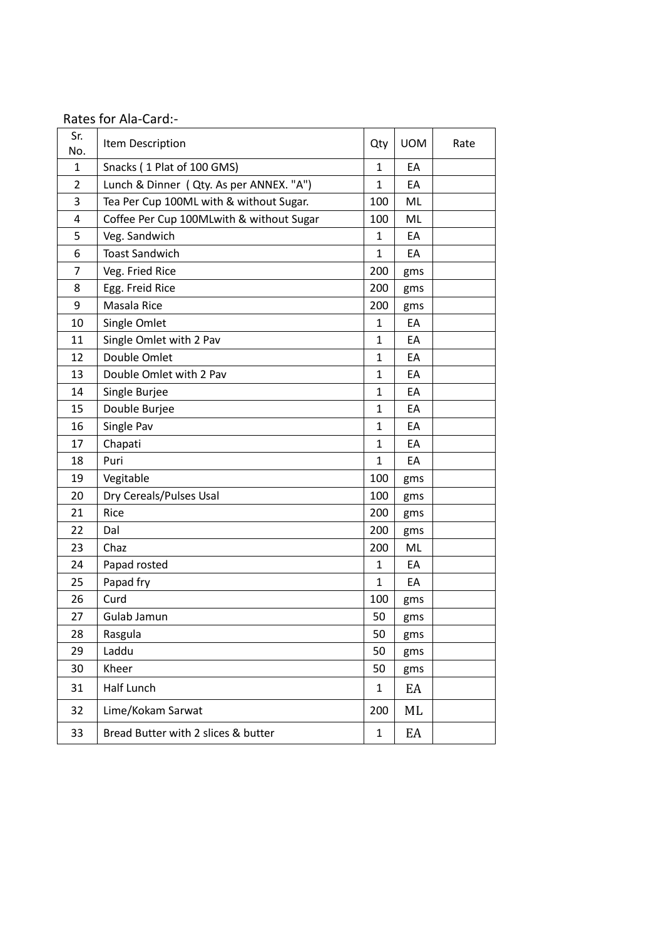|  | Rates for Ala-Card:- |
|--|----------------------|
|--|----------------------|

| Sr.<br>No.     | Item Description                         | Qty          | <b>UOM</b> | Rate |
|----------------|------------------------------------------|--------------|------------|------|
| $\mathbf{1}$   | Snacks (1 Plat of 100 GMS)               | $\mathbf{1}$ | EA         |      |
| $\overline{2}$ | Lunch & Dinner ( Qty. As per ANNEX. "A") | 1            | EA         |      |
| 3              | Tea Per Cup 100ML with & without Sugar.  | 100          | ML         |      |
| 4              | Coffee Per Cup 100MLwith & without Sugar | 100          | ML         |      |
| 5              | Veg. Sandwich                            | 1            | EA         |      |
| 6              | <b>Toast Sandwich</b>                    | 1            | EA         |      |
| $\overline{7}$ | Veg. Fried Rice                          | 200          | gms        |      |
| 8              | Egg. Freid Rice                          | 200          | gms        |      |
| 9              | Masala Rice                              | 200          | gms        |      |
| 10             | Single Omlet                             | 1            | EA         |      |
| 11             | Single Omlet with 2 Pav                  | $\mathbf{1}$ | EA         |      |
| 12             | Double Omlet                             | 1            | EA         |      |
| 13             | Double Omlet with 2 Pav                  | 1            | EA         |      |
| 14             | Single Burjee                            | 1            | EA         |      |
| 15             | Double Burjee                            | 1            | EA         |      |
| 16             | Single Pav                               | $\mathbf{1}$ | EA         |      |
| 17             | Chapati                                  | 1            | EA         |      |
| 18             | Puri                                     | $\mathbf{1}$ | EA         |      |
| 19             | Vegitable                                | 100          | gms        |      |
| 20             | Dry Cereals/Pulses Usal                  | 100          | gms        |      |
| 21             | Rice                                     | 200          | gms        |      |
| 22             | Dal                                      | 200          | gms        |      |
| 23             | Chaz                                     | 200          | ML         |      |
| 24             | Papad rosted                             | $\mathbf{1}$ | EA         |      |
| 25             | Papad fry                                | $\mathbf 1$  | EA         |      |
| 26             | Curd                                     | 100          | gms        |      |
| 27             | Gulab Jamun                              | 50           | gms        |      |
| 28             | Rasgula                                  | 50           | gms        |      |
| 29             | Laddu                                    | 50           | gms        |      |
| 30             | Kheer                                    | 50           | gms        |      |
| 31             | Half Lunch                               | $\mathbf{1}$ | EA         |      |
| 32             | Lime/Kokam Sarwat                        | 200          | ML         |      |
| 33             | Bread Butter with 2 slices & butter      | 1            | EA         |      |